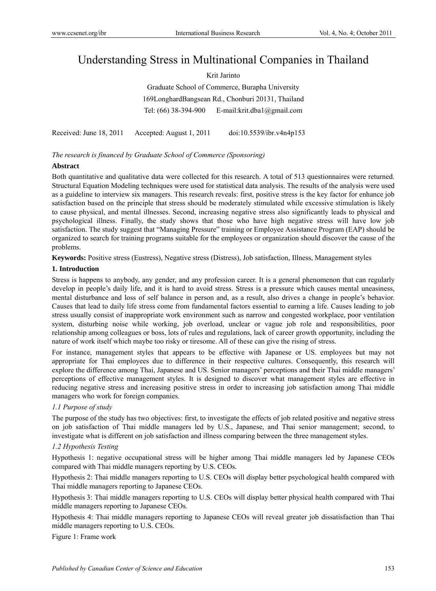# Understanding Stress in Multinational Companies in Thailand

Krit Jarinto

Graduate School of Commerce, Burapha University 169LonghardBangsean Rd., Chonburi 20131, Thailand Tel: (66) 38-394-900 E-mail:krit.dba1@gmail.com

Received: June 18, 2011 Accepted: August 1, 2011 doi:10.5539/ibr.v4n4p153

*The research is financed by Graduate School of Commerce (Sponsoring)*

# **Abstract**

Both quantitative and qualitative data were collected for this research. A total of 513 questionnaires were returned. Structural Equation Modeling techniques were used for statistical data analysis. The results of the analysis were used as a guideline to interview six managers. This research reveals: first, positive stress is the key factor for enhance job satisfaction based on the principle that stress should be moderately stimulated while excessive stimulation is likely to cause physical, and mental illnesses. Second, increasing negative stress also significantly leads to physical and psychological illness. Finally, the study shows that those who have high negative stress will have low job satisfaction. The study suggest that "Managing Pressure" training or Employee Assistance Program (EAP) should be organized to search for training programs suitable for the employees or organization should discover the cause of the problems.

**Keywords:** Positive stress (Eustress), Negative stress (Distress), Job satisfaction, Illness, Management styles

#### **1. Introduction**

Stress is happens to anybody, any gender, and any profession career. It is a general phenomenon that can regularly develop in people's daily life, and it is hard to avoid stress. Stress is a pressure which causes mental uneasiness, mental disturbance and loss of self balance in person and, as a result, also drives a change in people's behavior. Causes that lead to daily life stress come from fundamental factors essential to earning a life. Causes leading to job stress usually consist of inappropriate work environment such as narrow and congested workplace, poor ventilation system, disturbing noise while working, job overload, unclear or vague job role and responsibilities, poor relationship among colleagues or boss, lots of rules and regulations, lack of career growth opportunity, including the nature of work itself which maybe too risky or tiresome. All of these can give the rising of stress.

For instance, management styles that appears to be effective with Japanese or US. employees but may not appropriate for Thai employees due to difference in their respective cultures. Consequently, this research will explore the difference among Thai, Japanese and US. Senior managers' perceptions and their Thai middle managers' perceptions of effective management styles. It is designed to discover what management styles are effective in reducing negative stress and increasing positive stress in order to increasing job satisfaction among Thai middle managers who work for foreign companies.

# *1.1 Purpose of study*

The purpose of the study has two objectives: first, to investigate the effects of job related positive and negative stress on job satisfaction of Thai middle managers led by U.S., Japanese, and Thai senior management; second, to investigate what is different on job satisfaction and illness comparing between the three management styles.

#### *1.2 Hypothesis Testing*

Hypothesis 1: negative occupational stress will be higher among Thai middle managers led by Japanese CEOs compared with Thai middle managers reporting by U.S. CEOs.

Hypothesis 2: Thai middle managers reporting to U.S. CEOs will display better psychological health compared with Thai middle managers reporting to Japanese CEOs.

Hypothesis 3: Thai middle managers reporting to U.S. CEOs will display better physical health compared with Thai middle managers reporting to Japanese CEOs.

Hypothesis 4: Thai middle managers reporting to Japanese CEOs will reveal greater job dissatisfaction than Thai middle managers reporting to U.S. CEOs.

Figure 1: Frame work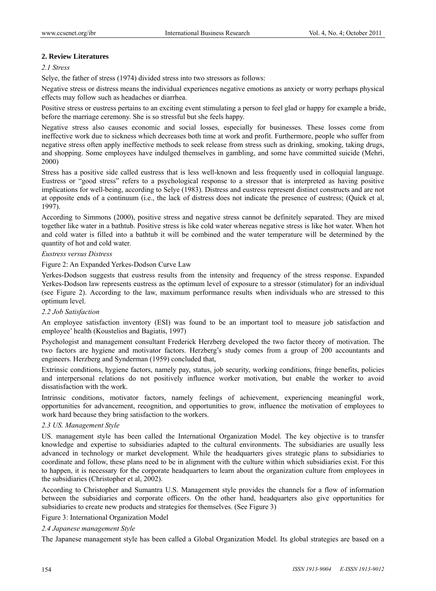# **2. Review Literatures**

# *2.1 Stress*

Selye, the father of stress (1974) divided stress into two stressors as follows:

Negative stress or distress means the individual experiences negative emotions as anxiety or worry perhaps physical effects may follow such as headaches or diarrhea.

Positive stress or eustress pertains to an exciting event stimulating a person to feel glad or happy for example a bride, before the marriage ceremony. She is so stressful but she feels happy.

Negative stress also causes economic and social losses, especially for businesses. These losses come from ineffective work due to sickness which decreases both time at work and profit. Furthermore, people who suffer from negative stress often apply ineffective methods to seek release from stress such as drinking, smoking, taking drugs, and shopping. Some employees have indulged themselves in gambling, and some have committed suicide (Mehri, 2000)

Stress has a positive side called eustress that is less well-known and less frequently used in colloquial language. Eustress or "good stress" refers to a psychological response to a stressor that is interpreted as having positive implications for well-being, according to Selye (1983). Distress and eustress represent distinct constructs and are not at opposite ends of a continuum (i.e., the lack of distress does not indicate the presence of eustress; (Quick et al, 1997).

According to Simmons (2000), positive stress and negative stress cannot be definitely separated. They are mixed together like water in a bathtub. Positive stress is like cold water whereas negative stress is like hot water. When hot and cold water is filled into a bathtub it will be combined and the water temperature will be determined by the quantity of hot and cold water.

# *Eustress versus Distress*

# Figure 2: An Expanded Yerkes-Dodson Curve Law

Yerkes-Dodson suggests that eustress results from the intensity and frequency of the stress response. Expanded Yerkes-Dodson law represents eustress as the optimum level of exposure to a stressor (stimulator) for an individual (see Figure 2). According to the law, maximum performance results when individuals who are stressed to this optimum level.

#### *2.2 Job Satisfaction*

An employee satisfaction inventory (ESI) was found to be an important tool to measure job satisfaction and employee' health (Koustelios and Bagiatis, 1997)

Psychologist and management consultant Frederick Herzberg developed the two factor theory of motivation. The two factors are hygiene and motivator factors. Herzberg's study comes from a group of 200 accountants and engineers. Herzberg and Synderman (1959) concluded that,

Extrinsic conditions, hygiene factors, namely pay, status, job security, working conditions, fringe benefits, policies and interpersonal relations do not positively influence worker motivation, but enable the worker to avoid dissatisfaction with the work.

Intrinsic conditions, motivator factors, namely feelings of achievement, experiencing meaningful work, opportunities for advancement, recognition, and opportunities to grow, influence the motivation of employees to work hard because they bring satisfaction to the workers.

#### *2.3 US. Management Style*

US. management style has been called the International Organization Model. The key objective is to transfer knowledge and expertise to subsidiaries adapted to the cultural environments. The subsidiaries are usually less advanced in technology or market development. While the headquarters gives strategic plans to subsidiaries to coordinate and follow, these plans need to be in alignment with the culture within which subsidiaries exist. For this to happen, it is necessary for the corporate headquarters to learn about the organization culture from employees in the subsidiaries (Christopher et al, 2002).

According to Christopher and Sumantra U.S. Management style provides the channels for a flow of information between the subsidiaries and corporate officers. On the other hand, headquarters also give opportunities for subsidiaries to create new products and strategies for themselves. (See Figure 3)

# Figure 3: International Organization Model

#### *2.4 Japanese management Style*

The Japanese management style has been called a Global Organization Model. Its global strategies are based on a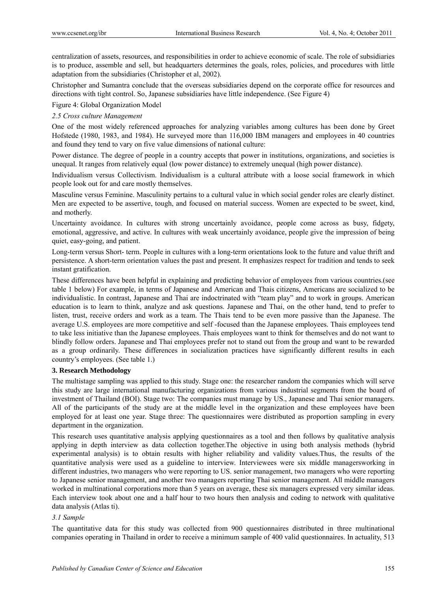centralization of assets, resources, and responsibilities in order to achieve economic of scale. The role of subsidiaries is to produce, assemble and sell, but headquarters determines the goals, roles, policies, and procedures with little adaptation from the subsidiaries (Christopher et al, 2002).

Christopher and Sumantra conclude that the overseas subsidiaries depend on the corporate office for resources and directions with tight control. So, Japanese subsidiaries have little independence. (See Figure 4)

Figure 4: Global Organization Model

#### *2.5 Cross culture Management*

One of the most widely referenced approaches for analyzing variables among cultures has been done by Greet Hofstede (1980, 1983, and 1984). He surveyed more than 116,000 IBM managers and employees in 40 countries and found they tend to vary on five value dimensions of national culture:

Power distance. The degree of people in a country accepts that power in institutions, organizations, and societies is unequal. It ranges from relatively equal (low power distance) to extremely unequal (high power distance).

Individualism versus Collectivism. Individualism is a cultural attribute with a loose social framework in which people look out for and care mostly themselves.

Masculine versus Feminine. Masculinity pertains to a cultural value in which social gender roles are clearly distinct. Men are expected to be assertive, tough, and focused on material success. Women are expected to be sweet, kind, and motherly.

Uncertainty avoidance. In cultures with strong uncertainly avoidance, people come across as busy, fidgety, emotional, aggressive, and active. In cultures with weak uncertainly avoidance, people give the impression of being quiet, easy-going, and patient.

Long-term versus Short- term. People in cultures with a long-term orientations look to the future and value thrift and persistence. A short-term orientation values the past and present. It emphasizes respect for tradition and tends to seek instant gratification.

These differences have been helpful in explaining and predicting behavior of employees from various countries.(see table 1 below) For example, in terms of Japanese and American and Thais citizens, Americans are socialized to be individualistic. In contrast, Japanese and Thai are indoctrinated with "team play" and to work in groups. American education is to learn to think, analyze and ask questions. Japanese and Thai, on the other hand, tend to prefer to listen, trust, receive orders and work as a team. The Thais tend to be even more passive than the Japanese. The average U.S. employees are more competitive and self -focused than the Japanese employees. Thais employees tend to take less initiative than the Japanese employees. Thais employees want to think for themselves and do not want to blindly follow orders. Japanese and Thai employees prefer not to stand out from the group and want to be rewarded as a group ordinarily. These differences in socialization practices have significantly different results in each country's employees. (See table 1.)

#### **3. Research Methodology**

The multistage sampling was applied to this study. Stage one: the researcher random the companies which will serve this study are large international manufacturing organizations from various industrial segments from the board of investment of Thailand (BOI). Stage two: The companies must manage by US., Japanese and Thai senior managers. All of the participants of the study are at the middle level in the organization and these employees have been employed for at least one year. Stage three: The questionnaires were distributed as proportion sampling in every department in the organization.

This research uses quantitative analysis applying questionnaires as a tool and then follows by qualitative analysis applying in depth interview as data collection together.The objective in using both analysis methods (hybrid experimental analysis) is to obtain results with higher reliability and validity values.Thus, the results of the quantitative analysis were used as a guideline to interview. Interviewees were six middle managersworking in different industries, two managers who were reporting to US. senior management, two managers who were reporting to Japanese senior management, and another two managers reporting Thai senior management. All middle managers worked in multinational corporations more than 5 years on average, these six managers expressed very similar ideas. Each interview took about one and a half hour to two hours then analysis and coding to network with qualitative data analysis (Atlas ti).

#### *3.1 Sample*

The quantitative data for this study was collected from 900 questionnaires distributed in three multinational companies operating in Thailand in order to receive a minimum sample of 400 valid questionnaires. In actuality, 513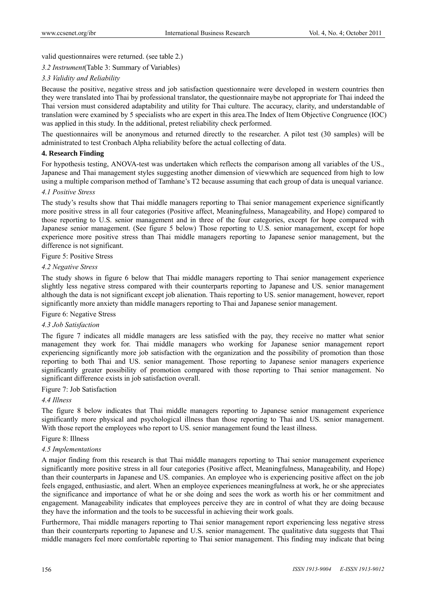valid questionnaires were returned. (see table 2.)

*3.2 Instrument*(Table 3: Summary of Variables)

#### *3.3 Validity and Reliability*

Because the positive, negative stress and job satisfaction questionnaire were developed in western countries then they were translated into Thai by professional translator, the questionnaire maybe not appropriate for Thai indeed the Thai version must considered adaptability and utility for Thai culture. The accuracy, clarity, and understandable of translation were examined by 5 specialists who are expert in this area.The Index of Item Objective Congruence (IOC) was applied in this study. In the additional, pretest reliability check performed.

The questionnaires will be anonymous and returned directly to the researcher. A pilot test (30 samples) will be administrated to test Cronbach Alpha reliability before the actual collecting of data.

#### **4. Research Finding**

For hypothesis testing, ANOVA-test was undertaken which reflects the comparison among all variables of the US., Japanese and Thai management styles suggesting another dimension of viewwhich are sequenced from high to low using a multiple comparison method of Tamhane's T2 because assuming that each group of data is unequal variance.

#### *4.1 Positive Stress*

The study's results show that Thai middle managers reporting to Thai senior management experience significantly more positive stress in all four categories (Positive affect, Meaningfulness, Manageability, and Hope) compared to those reporting to U.S. senior management and in three of the four categories, except for hope compared with Japanese senior management. (See figure 5 below) Those reporting to U.S. senior management, except for hope experience more positive stress than Thai middle managers reporting to Japanese senior management, but the difference is not significant.

#### Figure 5: Positive Stress

#### *4.2 Negative Stress*

The study shows in figure 6 below that Thai middle managers reporting to Thai senior management experience slightly less negative stress compared with their counterparts reporting to Japanese and US. senior management although the data is not significant except job alienation. Thais reporting to US. senior management, however, report significantly more anxiety than middle managers reporting to Thai and Japanese senior management.

#### Figure 6: Negative Stress

#### *4.3 Job Satisfaction*

The figure 7 indicates all middle managers are less satisfied with the pay, they receive no matter what senior management they work for. Thai middle managers who working for Japanese senior management report experiencing significantly more job satisfaction with the organization and the possibility of promotion than those reporting to both Thai and US. senior management. Those reporting to Japanese senior managers experience significantly greater possibility of promotion compared with those reporting to Thai senior management. No significant difference exists in job satisfaction overall.

#### Figure 7: Job Satisfaction

#### *4.4 Illness*

The figure 8 below indicates that Thai middle managers reporting to Japanese senior management experience significantly more physical and psychological illness than those reporting to Thai and US. senior management. With those report the employees who report to US. senior management found the least illness.

#### Figure 8: Illness

#### *4.5 Implementations*

A major finding from this research is that Thai middle managers reporting to Thai senior management experience significantly more positive stress in all four categories (Positive affect, Meaningfulness, Manageability, and Hope) than their counterparts in Japanese and US. companies. An employee who is experiencing positive affect on the job feels engaged, enthusiastic, and alert. When an employee experiences meaningfulness at work, he or she appreciates the significance and importance of what he or she doing and sees the work as worth his or her commitment and engagement. Manageability indicates that employees perceive they are in control of what they are doing because they have the information and the tools to be successful in achieving their work goals.

Furthermore, Thai middle managers reporting to Thai senior management report experiencing less negative stress than their counterparts reporting to Japanese and U.S. senior management. The qualitative data suggests that Thai middle managers feel more comfortable reporting to Thai senior management. This finding may indicate that being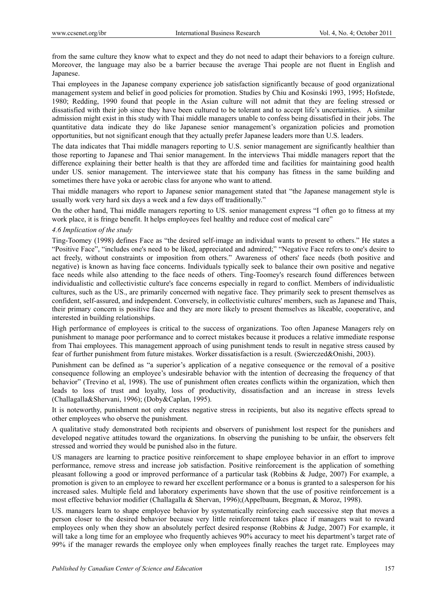from the same culture they know what to expect and they do not need to adapt their behaviors to a foreign culture. Moreover, the language may also be a barrier because the average Thai people are not fluent in English and Japanese.

Thai employees in the Japanese company experience job satisfaction significantly because of good organizational management system and belief in good policies for promotion. Studies by Chiu and Kosinski 1993, 1995; Hofstede, 1980; Redding, 1990 found that people in the Asian culture will not admit that they are feeling stressed or dissatisfied with their job since they have been cultured to be tolerant and to accept life's uncertainties. A similar admission might exist in this study with Thai middle managers unable to confess being dissatisfied in their jobs. The quantitative data indicate they do like Japanese senior management's organization policies and promotion opportunities, but not significant enough that they actually prefer Japanese leaders more than U.S. leaders.

The data indicates that Thai middle managers reporting to U.S. senior management are significantly healthier than those reporting to Japanese and Thai senior management. In the interviews Thai middle managers report that the difference explaining their better health is that they are afforded time and facilities for maintaining good health under US. senior management. The interviewee state that his company has fitness in the same building and sometimes there have yoka or aerobic class for anyone who want to attend.

Thai middle managers who report to Japanese senior management stated that "the Japanese management style is usually work very hard six days a week and a few days off traditionally."

On the other hand, Thai middle managers reporting to US. senior management express "I often go to fitness at my work place, it is fringe benefit. It helps employees feel healthy and reduce cost of medical care"

#### *4.6 Implication of the study*

Ting-Toomey (1998) defines Face as "the desired self-image an individual wants to present to others." He states a "Positive Face", "includes one's need to be liked, appreciated and admired;" "Negative Face refers to one's desire to act freely, without constraints or imposition from others." Awareness of others' face needs (both positive and negative) is known as having face concerns. Individuals typically seek to balance their own positive and negative face needs while also attending to the face needs of others. Ting-Toomey's research found differences between individualistic and collectivistic culture's face concerns especially in regard to conflict. Members of individualistic cultures, such as the US., are primarily concerned with negative face. They primarily seek to present themselves as confident, self-assured, and independent. Conversely, in collectivistic cultures' members, such as Japanese and Thais, their primary concern is positive face and they are more likely to present themselves as likeable, cooperative, and interested in building relationships.

High performance of employees is critical to the success of organizations. Too often Japanese Managers rely on punishment to manage poor performance and to correct mistakes because it produces a relative immediate response from Thai employees. This management approach of using punishment tends to result in negative stress caused by fear of further punishment from future mistakes. Worker dissatisfaction is a result. (Swierczed&Onishi, 2003).

Punishment can be defined as "a superior's application of a negative consequence or the removal of a positive consequence following an employee's undesirable behavior with the intention of decreasing the frequency of that behavior" (Trevino et al, 1998). The use of punishment often creates conflicts within the organization, which then leads to loss of trust and loyalty, loss of productivity, dissatisfaction and an increase in stress levels (Challagalla&Shervani, 1996); (Doby&Caplan, 1995).

It is noteworthy, punishment not only creates negative stress in recipients, but also its negative effects spread to other employees who observe the punishment.

A qualitative study demonstrated both recipients and observers of punishment lost respect for the punishers and developed negative attitudes toward the organizations. In observing the punishing to be unfair, the observers felt stressed and worried they would be punished also in the future.

US managers are learning to practice positive reinforcement to shape employee behavior in an effort to improve performance, remove stress and increase job satisfaction. Positive reinforcement is the application of something pleasant following a good or improved performance of a particular task (Robbins & Judge, 2007) For example, a promotion is given to an employee to reward her excellent performance or a bonus is granted to a salesperson for his increased sales. Multiple field and laboratory experiments have shown that the use of positive reinforcement is a most effective behavior modifier (Challagalla & Shervan, 1996);(Appelbaum, Bregman, & Moroz, 1998).

US. managers learn to shape employee behavior by systematically reinforcing each successive step that moves a person closer to the desired behavior because very little reinforcement takes place if managers wait to reward employees only when they show an absolutely perfect desired response (Robbins & Judge, 2007) For example, it will take a long time for an employee who frequently achieves 90% accuracy to meet his department's target rate of 99% if the manager rewards the employee only when employees finally reaches the target rate. Employees may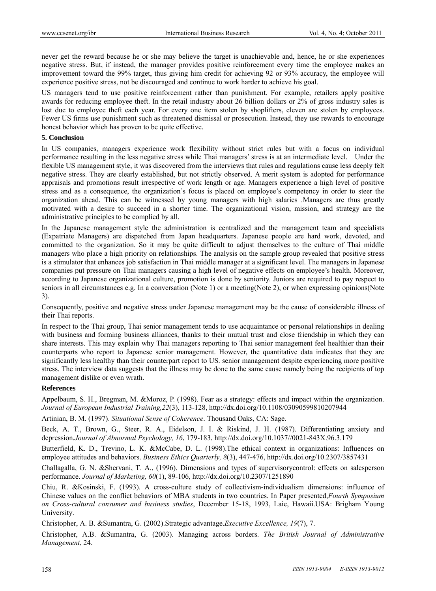never get the reward because he or she may believe the target is unachievable and, hence, he or she experiences negative stress. But, if instead, the manager provides positive reinforcement every time the employee makes an improvement toward the 99% target, thus giving him credit for achieving 92 or 93% accuracy, the employee will experience positive stress, not be discouraged and continue to work harder to achieve his goal.

US managers tend to use positive reinforcement rather than punishment. For example, retailers apply positive awards for reducing employee theft. In the retail industry about 26 billion dollars or 2% of gross industry sales is lost due to employee theft each year. For every one item stolen by shoplifters, eleven are stolen by employees. Fewer US firms use punishment such as threatened dismissal or prosecution. Instead, they use rewards to encourage honest behavior which has proven to be quite effective.

#### **5. Conclusion**

In US companies, managers experience work flexibility without strict rules but with a focus on individual performance resulting in the less negative stress while Thai managers' stress is at an intermediate level. Under the flexible US management style, it was discovered from the interviews that rules and regulations cause less deeply felt negative stress. They are clearly established, but not strictly observed. A merit system is adopted for performance appraisals and promotions result irrespective of work length or age. Managers experience a high level of positive stress and as a consequence, the organization's focus is placed on employee's competency in order to steer the organization ahead. This can be witnessed by young managers with high salaries .Managers are thus greatly motivated with a desire to succeed in a shorter time. The organizational vision, mission, and strategy are the administrative principles to be complied by all.

In the Japanese management style the administration is centralized and the management team and specialists (Expatriate Managers) are dispatched from Japan headquarters. Japanese people are hard work, devoted, and committed to the organization. So it may be quite difficult to adjust themselves to the culture of Thai middle managers who place a high priority on relationships. The analysis on the sample group revealed that positive stress is a stimulator that enhances job satisfaction in Thai middle manager at a significant level. The managers in Japanese companies put pressure on Thai managers causing a high level of negative effects on employee's health. Moreover, according to Japanese organizational culture, promotion is done by seniority. Juniors are required to pay respect to seniors in all circumstances e.g. In a conversation (Note 1) or a meeting(Note 2), or when expressing opinions(Note 3).

Consequently, positive and negative stress under Japanese management may be the cause of considerable illness of their Thai reports.

In respect to the Thai group, Thai senior management tends to use acquaintance or personal relationships in dealing with business and forming business alliances, thanks to their mutual trust and close friendship in which they can share interests. This may explain why Thai managers reporting to Thai senior management feel healthier than their counterparts who report to Japanese senior management. However, the quantitative data indicates that they are significantly less healthy than their counterpart report to US. senior management despite experiencing more positive stress. The interview data suggests that the illness may be done to the same cause namely being the recipients of top management dislike or even wrath.

#### **References**

Appelbaum, S. H., Bregman, M. &Moroz, P. (1998). Fear as a strategy: effects and impact within the organization. *Journal of European Industrial Training,22*(3), 113-128, http://dx.doi.org/10.1108/03090599810207944

Artinian, B. M. (1997). *Situational Sense of Coherence*. Thousand Oaks, CA: Sage.

Beck, A. T., Brown, G., Steer, R. A., Eidelson, J. I. & Riskind, J. H. (1987). Differentiating anxiety and depression.*Journal of Abnormal Psychology, 16*, 179-183, http://dx.doi.org/10.1037//0021-843X.96.3.179

Butterfield, K. D., Trevino, L. K. &McCabe, D. L. (1998).The ethical context in organizations: Influences on employee attitudes and behaviors. *Business Ethics Quarterly, 8*(3), 447-476, http://dx.doi.org/10.2307/3857431

Challagalla, G. N. &Shervani, T. A., (1996). Dimensions and types of supervisorycontrol: effects on salesperson performance. *Journal of Marketing, 60*(1), 89-106, http://dx.doi.org/10.2307/1251890

Chiu, R. &Kosinski, F. (1993). A cross-culture study of collectivism-individualism dimensions: influence of Chinese values on the conflict behaviors of MBA students in two countries. In Paper presented,*Fourth Symposium on Cross-cultural consumer and business studies*, December 15-18, 1993, Laie, Hawaii.USA: Brigham Young University.

Christopher, A. B. &Sumantra, G. (2002).Strategic advantage.*Executive Excellence, 19*(7), 7.

Christopher, A.B. &Sumantra, G. (2003). Managing across borders. *The British Journal of Administrative Management*, 24.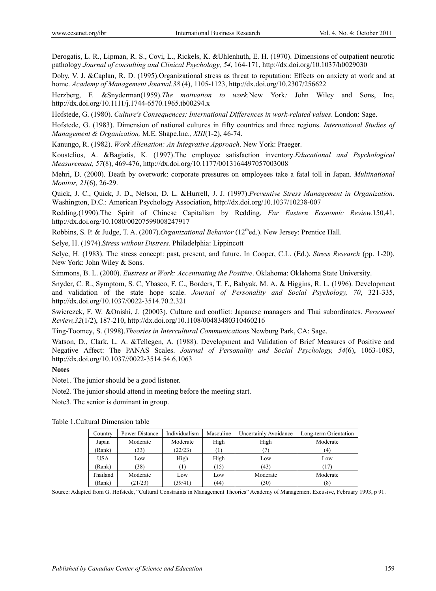Derogatis, L. R., Lipman, R. S., Covi, L., Rickels, K. &Uhlenhuth, E. H. (1970). Dimensions of outpatient neurotic pathology.*Journal of consulting and Clinical Psychology, 54*, 164-171, http://dx.doi.org/10.1037/h0029030

Doby, V. J. &Caplan, R. D. (1995).Organizational stress as threat to reputation: Effects on anxiety at work and at home. *Academy of Management Journal*.*38* (4), 1105-1123, http://dx.doi.org/10.2307/256622

Herzberg, F. &Snyderman(1959).*The motivation to work.*New York*:* John Wiley and Sons, Inc, http://dx.doi.org/10.1111/j.1744-6570.1965.tb00294.x

Hofstede, G. (1980). *Culture's Consequences: International Differences in work-related values*. London: Sage.

Hofstede, G. (1983). Dimension of national cultures in fifty countries and three regions. *International Studies of Management & Organization,* M.E. Shape.Inc.*, XIII*(1-2), 46-74.

Kanungo, R. (1982). *Work Alienation: An Integrative Approach*. New York: Praeger.

Koustelios, A. &Bagiatis, K. (1997).The employee satisfaction inventory.*Educational and Psychological Measurement, 57*(8), 469-476, http://dx.doi.org/10.1177/0013164497057003008

Mehri, D. (2000). Death by overwork: corporate pressures on employees take a fatal toll in Japan. *Multinational Monitor, 21*(6), 26-29.

Quick, J. C., Quick, J. D., Nelson, D. L. &Hurrell, J. J. (1997).*Preventive Stress Management in Organization*. Washington, D.C.: American Psychology Association, http://dx.doi.org/10.1037/10238-007

Redding.(1990).The Spirit of Chinese Capitalism by Redding. *Far Eastern Economic Review.*150,41. http://dx.doi.org/10.1080/00207599008247917

Robbins, S. P. & Judge, T. A. (2007).*Organizational Behavior* (12thed.). New Jersey: Prentice Hall.

Selye, H. (1974).*Stress without Distress*. Philadelphia: Lippincott

Selye, H. (1983). The stress concept: past, present, and future. In Cooper, C.L. (Ed.), *Stress Research* (pp. 1-20). New York: John Wiley & Sons.

Simmons, B. L. (2000). *Eustress at Work: Accentuating the Positive*. Oklahoma: Oklahoma State University.

Snyder, C. R., Symptom, S. C, Ybasco, F. C., Borders, T. F., Babyak, M. A. & Higgins, R. L. (1996). Development and validation of the state hope scale. *Journal of Personality and Social Psychology, 70*, 321-335, http://dx.doi.org/10.1037/0022-3514.70.2.321

Swierczek, F. W. &Onishi, J. (20003). Culture and conflict: Japanese managers and Thai subordinates. *Personnel Review,32*(1/2), 187-210, http://dx.doi.org/10.1108/00483480310460216

Ting-Toomey, S. (1998).*Theories in Intercultural Communications.*Newburg Park, CA: Sage.

Watson, D., Clark, L. A. &Tellegen, A. (1988). Development and Validation of Brief Measures of Positive and Negative Affect: The PANAS Scales. *Journal of Personality and Social Psychology, 54*(6), 1063-1083, http://dx.doi.org/10.1037//0022-3514.54.6.1063

# **Notes**

Note1. The junior should be a good listener.

Note2. The junior should attend in meeting before the meeting start.

Note3. The senior is dominant in group.

Table 1.Cultural Dimension table

| Country    | Power Distance | Individualism    | Masculine | Uncertainly Avoidance | Long-term Orientation |
|------------|----------------|------------------|-----------|-----------------------|-----------------------|
| Japan      | Moderate       | Moderate         | High      | High                  | Moderate              |
| (Rank)     | (33)           | (22/23)          | ٦I)       |                       | (4)                   |
| <b>USA</b> | Low            | High             | High      | Low                   | Low                   |
| (Rank)     | (38)           | $\left(1\right)$ | (15)      | (43)                  | (17)                  |
| Thailand   | Moderate       | Low              | Low       | Moderate              | Moderate              |
| (Rank)     | (21/23)        | (39/41)          | (44)      | (30)                  | (8)                   |

Source: Adapted from G. Hofstede, "Cultural Constraints in Management Theories" Academy of Management Excusive, February 1993, p 91.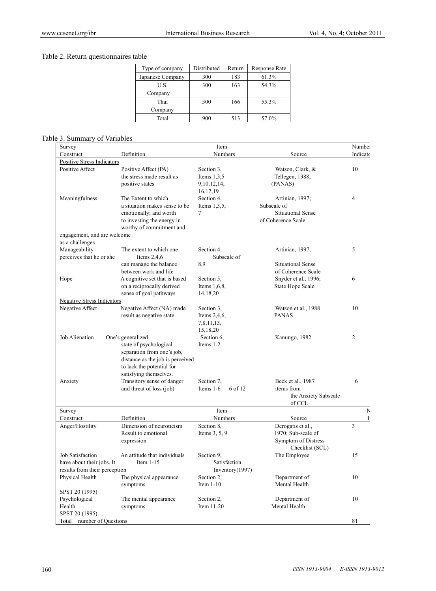# Table 2. Return questionnaires table

| Type of company  | Distributed | Return | <b>Response Rate</b> |  |
|------------------|-------------|--------|----------------------|--|
| Japanese Company | 300         | 183    | 61.3%                |  |
| U.S.             | 300         | 163    | 54.3%                |  |
| Company          |             |        |                      |  |
| Thai             | 300         | 166    | 55.3%                |  |
| Company          |             |        |                      |  |
| Total            | 900         | 513    | 57.0%                |  |

# Table 3. Summary of Variables

| Survey                                   |                                                 | Item                          |                                                | Numbe          |  |  |  |
|------------------------------------------|-------------------------------------------------|-------------------------------|------------------------------------------------|----------------|--|--|--|
| Construct                                | Definition                                      | Numbers                       | Source                                         | Indicato       |  |  |  |
| Positive Stress Indicators               |                                                 |                               |                                                |                |  |  |  |
| Positive Affect                          | Positive Affect (PA)                            | Section 3,                    | Watson, Clark, &                               | 10             |  |  |  |
|                                          | the stress made result as                       | Items $1,3,5$                 | Tellegen, 1988;                                |                |  |  |  |
|                                          | positive states                                 | 9, 10, 12, 14,                | (PANAS)                                        |                |  |  |  |
|                                          |                                                 | 16,17,19                      |                                                |                |  |  |  |
| Meaningfulness                           | The Extent to which                             | Section 4,                    | Artinian, 1997;                                | 4              |  |  |  |
|                                          | a situation makes sense to be                   | Items $1,3,5$ ,               | Subscale of                                    |                |  |  |  |
|                                          | emotionally; and worth                          | 7                             | Situational Sense                              |                |  |  |  |
|                                          | to investing the energy in                      |                               | of Coherence Scale                             |                |  |  |  |
|                                          | worthy of commitment and                        |                               |                                                |                |  |  |  |
| engagement, and are welcome              |                                                 |                               |                                                |                |  |  |  |
| as a challenges                          |                                                 |                               |                                                |                |  |  |  |
| Manageability                            | The extent to which one                         | Section 4,                    | Artinian, 1997;                                | 5              |  |  |  |
| perceives that he or she                 | Items $2,4,6$                                   | Subscale of                   |                                                |                |  |  |  |
|                                          | can manage the balance<br>between work and life | 8,9                           | <b>Situational Sense</b><br>of Coherence Scale |                |  |  |  |
| Hope                                     | A cognitive set that is based                   |                               | Snyder et al., 1996;                           | 6              |  |  |  |
|                                          | on a reciprocally derived                       | Section 5,<br>Items $1,6,8$ , | <b>State Hope Scale</b>                        |                |  |  |  |
|                                          | sense of goal pathways                          | 14, 18, 20                    |                                                |                |  |  |  |
| <b>Negative Stress Indicators</b>        |                                                 |                               |                                                |                |  |  |  |
| Negative Affect                          | Negative Affect (NA) made                       | Section 3,                    | Watson et al., 1988                            | 10             |  |  |  |
|                                          | result as negative state                        | Items $2,4,6$ ,               | <b>PANAS</b>                                   |                |  |  |  |
|                                          |                                                 | 7,8,11,13,                    |                                                |                |  |  |  |
|                                          |                                                 | 15,18,20                      |                                                |                |  |  |  |
| Job Alienation                           | One's generalized                               | Section 6,                    | Kanungo, 1982                                  | $\overline{2}$ |  |  |  |
|                                          | state of psychological                          | Items 1-2                     |                                                |                |  |  |  |
|                                          | separation from one's job,                      |                               |                                                |                |  |  |  |
|                                          | distance as the job is perceived                |                               |                                                |                |  |  |  |
|                                          | to lack the potential for                       |                               |                                                |                |  |  |  |
|                                          | satisfying themselves.                          |                               |                                                |                |  |  |  |
| Anxiety                                  | Transitory sense of danger                      | Section 7,                    | Beck et al., 1987                              | 6              |  |  |  |
|                                          | and threat of loss (job)                        | Items $1-6$<br>6 of 12        | items from                                     |                |  |  |  |
|                                          |                                                 |                               | the Anxiety Subscale                           |                |  |  |  |
|                                          |                                                 |                               | of CCL                                         |                |  |  |  |
| Survey                                   |                                                 | Item                          |                                                |                |  |  |  |
| Construct                                | Definition                                      | Numbers                       | Source                                         |                |  |  |  |
| Anger/Hostility                          | Dimension of neuroticism                        | Section 8,                    | Derogatis et al.,                              | 3              |  |  |  |
|                                          | Result to emotional                             | Items $3, 5, 9$               | 1970; Sub-scale of                             |                |  |  |  |
|                                          | expression                                      |                               | Symptom of Distress                            |                |  |  |  |
|                                          |                                                 |                               | Checklist (SCL)                                |                |  |  |  |
| Job Satisfaction                         | An attitude that individuals                    | Section 9,                    | The Employee                                   | 15             |  |  |  |
| Item $1-15$<br>have about their jobs. It |                                                 | Satisfaction                  |                                                |                |  |  |  |
| results from their perception            |                                                 | Inventory(1997)               |                                                |                |  |  |  |
| Physical Health                          | The physical appearance                         | Section 2,                    | Department of                                  | 10             |  |  |  |
|                                          | symptoms                                        | Item $1-10$                   | Mental Health                                  |                |  |  |  |
| SPST 20 (1995)                           |                                                 |                               |                                                |                |  |  |  |
| Psychological                            | The mental appearance                           | Section 2,                    | Department of                                  | 10             |  |  |  |
| Health                                   | symptoms                                        | Item 11-20                    | Mental Health                                  |                |  |  |  |
| SPST 20 (1995)                           |                                                 |                               |                                                |                |  |  |  |
| Total number of Questions                |                                                 |                               |                                                |                |  |  |  |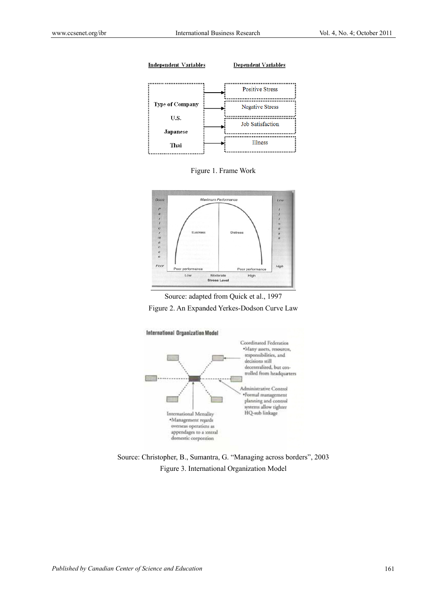

Figure 1. Frame Work





Figure 2. An Expanded Yerkes-Dodson Curve Law



Source: Christopher, B., Sumantra, G. "Managing across borders", 2003 Figure 3. International Organization Model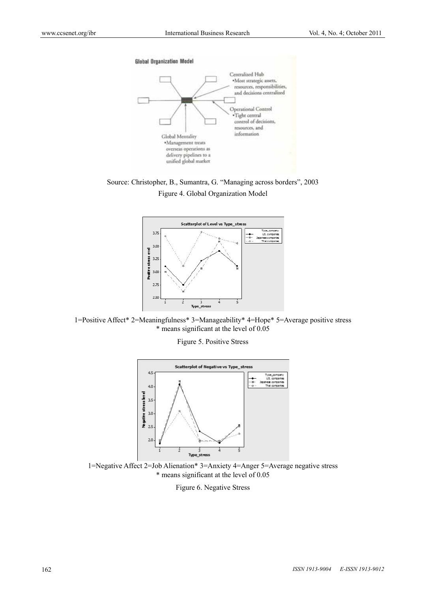

Source: Christopher, B., Sumantra, G. "Managing across borders", 2003 Figure 4. Global Organization Model



1=Positive Affect\* 2=Meaningfulness\* 3=Manageability\* 4=Hope\* 5=Average positive stress \* means significant at the level of 0.05

Figure 5. Positive Stress



1=Negative Affect 2=Job Alienation\* 3=Anxiety 4=Anger 5=Average negative stress \* means significant at the level of 0.05

Figure 6. Negative Stress